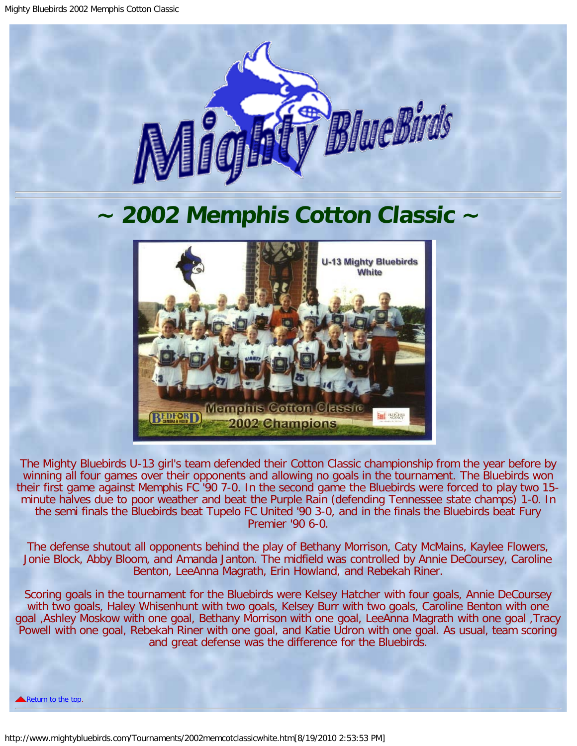

## <span id="page-0-0"></span>**~ 2002 Memphis Cotton Classic ~**



The Mighty Bluebirds U-13 girl's team defended their Cotton Classic championship from the year before by winning all four games over their opponents and allowing no goals in the tournament. The Bluebirds won their first game against Memphis FC '90 7-0. In the second game the Bluebirds were forced to play two 15 minute halves due to poor weather and beat the Purple Rain (defending Tennessee state champs) 1-0. In the semi finals the Bluebirds beat Tupelo FC United '90 3-0, and in the finals the Bluebirds beat Fury Premier '90 6-0.

The defense shutout all opponents behind the play of Bethany Morrison, Caty McMains, Kaylee Flowers, Jonie Block, Abby Bloom, and Amanda Janton. The midfield was controlled by Annie DeCoursey, Caroline Benton, LeeAnna Magrath, Erin Howland, and Rebekah Riner.

Scoring goals in the tournament for the Bluebirds were Kelsey Hatcher with four goals, Annie DeCoursey with two goals, Haley Whisenhunt with two goals, Kelsey Burr with two goals, Caroline Benton with one goal ,Ashley Moskow with one goal, Bethany Morrison with one goal, LeeAnna Magrath with one goal ,Tracy Powell with one goal, Rebekah Riner with one goal, and Katie Udron with one goal. As usual, team scoring and great defense was the difference for the Bluebirds.

[Return to the top.](#page-0-0)